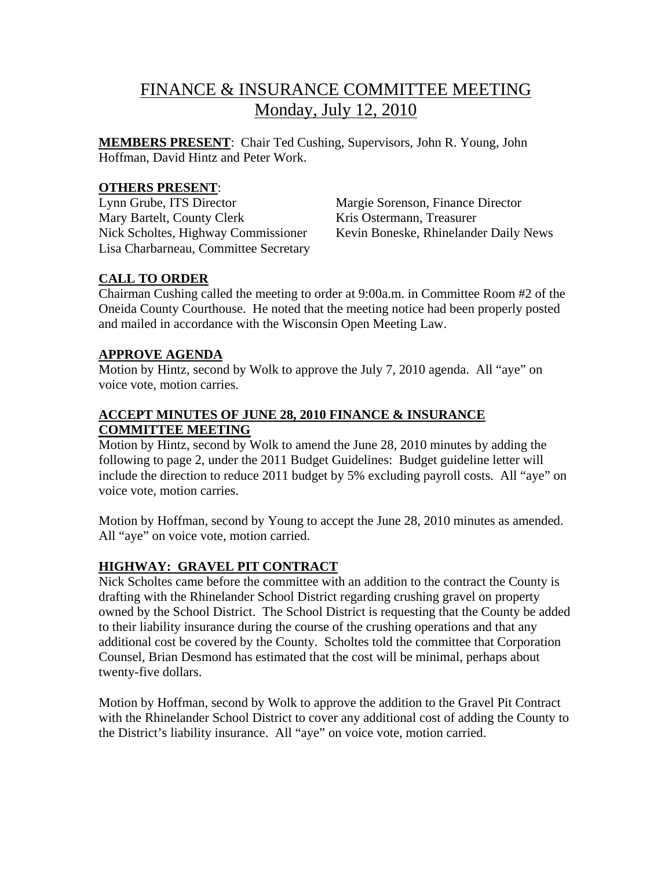# FINANCE & INSURANCE COMMITTEE MEETING Monday, July 12, 2010

**MEMBERS PRESENT**: Chair Ted Cushing, Supervisors, John R. Young, John Hoffman, David Hintz and Peter Work.

### **OTHERS PRESENT**:

Lynn Grube, ITS Director Margie Sorenson, Finance Director Mary Bartelt, County Clerk Kris Ostermann, Treasurer Lisa Charbarneau, Committee Secretary

Nick Scholtes, Highway Commissioner Kevin Boneske, Rhinelander Daily News

#### **CALL TO ORDER**

Chairman Cushing called the meeting to order at 9:00a.m. in Committee Room #2 of the Oneida County Courthouse. He noted that the meeting notice had been properly posted and mailed in accordance with the Wisconsin Open Meeting Law.

#### **APPROVE AGENDA**

Motion by Hintz, second by Wolk to approve the July 7, 2010 agenda. All "aye" on voice vote, motion carries.

# **ACCEPT MINUTES OF JUNE 28, 2010 FINANCE & INSURANCE COMMITTEE MEETING**

Motion by Hintz, second by Wolk to amend the June 28, 2010 minutes by adding the following to page 2, under the 2011 Budget Guidelines: Budget guideline letter will include the direction to reduce 2011 budget by 5% excluding payroll costs. All "aye" on voice vote, motion carries.

Motion by Hoffman, second by Young to accept the June 28, 2010 minutes as amended. All "aye" on voice vote, motion carried.

# **HIGHWAY: GRAVEL PIT CONTRACT**

Nick Scholtes came before the committee with an addition to the contract the County is drafting with the Rhinelander School District regarding crushing gravel on property owned by the School District. The School District is requesting that the County be added to their liability insurance during the course of the crushing operations and that any additional cost be covered by the County. Scholtes told the committee that Corporation Counsel, Brian Desmond has estimated that the cost will be minimal, perhaps about twenty-five dollars.

Motion by Hoffman, second by Wolk to approve the addition to the Gravel Pit Contract with the Rhinelander School District to cover any additional cost of adding the County to the District's liability insurance. All "aye" on voice vote, motion carried.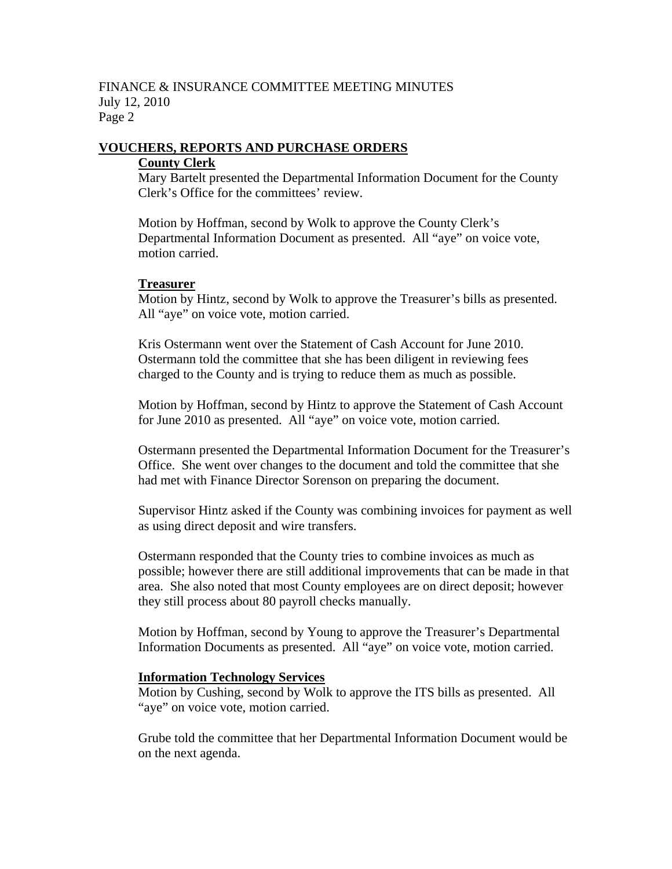#### FINANCE & INSURANCE COMMITTEE MEETING MINUTES July 12, 2010 Page 2

# **VOUCHERS, REPORTS AND PURCHASE ORDERS**

#### **County Clerk**

Mary Bartelt presented the Departmental Information Document for the County Clerk's Office for the committees' review.

Motion by Hoffman, second by Wolk to approve the County Clerk's Departmental Information Document as presented. All "aye" on voice vote, motion carried.

#### **Treasurer**

Motion by Hintz, second by Wolk to approve the Treasurer's bills as presented. All "aye" on voice vote, motion carried.

Kris Ostermann went over the Statement of Cash Account for June 2010. Ostermann told the committee that she has been diligent in reviewing fees charged to the County and is trying to reduce them as much as possible.

Motion by Hoffman, second by Hintz to approve the Statement of Cash Account for June 2010 as presented. All "aye" on voice vote, motion carried.

Ostermann presented the Departmental Information Document for the Treasurer's Office. She went over changes to the document and told the committee that she had met with Finance Director Sorenson on preparing the document.

Supervisor Hintz asked if the County was combining invoices for payment as well as using direct deposit and wire transfers.

Ostermann responded that the County tries to combine invoices as much as possible; however there are still additional improvements that can be made in that area. She also noted that most County employees are on direct deposit; however they still process about 80 payroll checks manually.

Motion by Hoffman, second by Young to approve the Treasurer's Departmental Information Documents as presented. All "aye" on voice vote, motion carried.

#### **Information Technology Services**

Motion by Cushing, second by Wolk to approve the ITS bills as presented. All "aye" on voice vote, motion carried.

Grube told the committee that her Departmental Information Document would be on the next agenda.